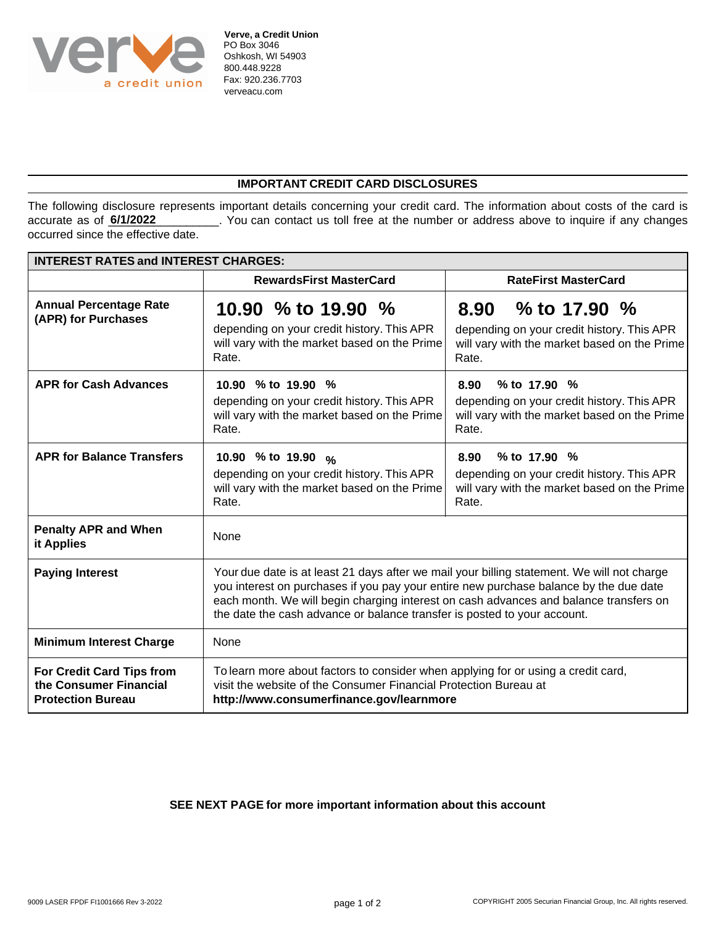

## **IMPORTANT CREDIT CARD DISCLOSURES**

The following disclosure represents important details concerning your credit card. The information about costs of the card is \_\_. You can contact us toll free at the number or address above to inquire if any changes occurred since the effective date. **6/1/2022**

| <b>INTEREST RATES and INTEREST CHARGES:</b>                                            |                                                                                                                                                                                                                                                                                                                                                          |                                                                                                                               |
|----------------------------------------------------------------------------------------|----------------------------------------------------------------------------------------------------------------------------------------------------------------------------------------------------------------------------------------------------------------------------------------------------------------------------------------------------------|-------------------------------------------------------------------------------------------------------------------------------|
|                                                                                        | <b>RewardsFirst MasterCard</b>                                                                                                                                                                                                                                                                                                                           | <b>RateFirst MasterCard</b>                                                                                                   |
| <b>Annual Percentage Rate</b><br>(APR) for Purchases                                   | 10.90 % to 19.90 %<br>depending on your credit history. This APR<br>will vary with the market based on the Prime<br>Rate.                                                                                                                                                                                                                                | % to 17.90 $%$<br>8.90<br>depending on your credit history. This APR<br>will vary with the market based on the Prime<br>Rate. |
| <b>APR for Cash Advances</b>                                                           | 10.90 % to 19.90 %<br>depending on your credit history. This APR<br>will vary with the market based on the Prime<br>Rate.                                                                                                                                                                                                                                | % to 17.90 %<br>8.90<br>depending on your credit history. This APR<br>will vary with the market based on the Prime<br>Rate.   |
| <b>APR for Balance Transfers</b>                                                       | 10.90 % to 19.90 %<br>depending on your credit history. This APR<br>will vary with the market based on the Prime<br>Rate.                                                                                                                                                                                                                                | % to $17.90\%$<br>8.90<br>depending on your credit history. This APR<br>will vary with the market based on the Prime<br>Rate. |
| <b>Penalty APR and When</b><br>it Applies                                              | None                                                                                                                                                                                                                                                                                                                                                     |                                                                                                                               |
| <b>Paying Interest</b>                                                                 | Your due date is at least 21 days after we mail your billing statement. We will not charge<br>you interest on purchases if you pay your entire new purchase balance by the due date<br>each month. We will begin charging interest on cash advances and balance transfers on<br>the date the cash advance or balance transfer is posted to your account. |                                                                                                                               |
| <b>Minimum Interest Charge</b>                                                         | None                                                                                                                                                                                                                                                                                                                                                     |                                                                                                                               |
| <b>For Credit Card Tips from</b><br>the Consumer Financial<br><b>Protection Bureau</b> | To learn more about factors to consider when applying for or using a credit card,<br>visit the website of the Consumer Financial Protection Bureau at<br>http://www.consumerfinance.gov/learnmore                                                                                                                                                        |                                                                                                                               |

## **SEE NEXT PAGE for more important information about this account**